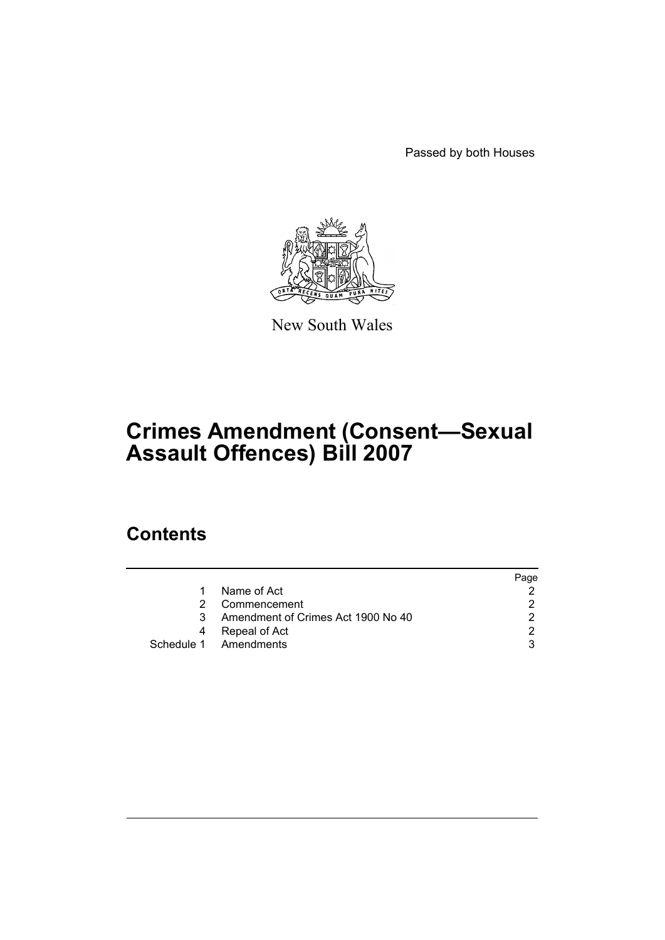Passed by both Houses



New South Wales

# **Crimes Amendment (Consent—Sexual Assault Offences) Bill 2007**

# **Contents**

|    |                                    | Page |
|----|------------------------------------|------|
| 1. | Name of Act                        |      |
| 2  | Commencement                       |      |
| 3  | Amendment of Crimes Act 1900 No 40 |      |
| 4  | Repeal of Act                      | ⌒    |
|    | Schedule 1 Amendments              |      |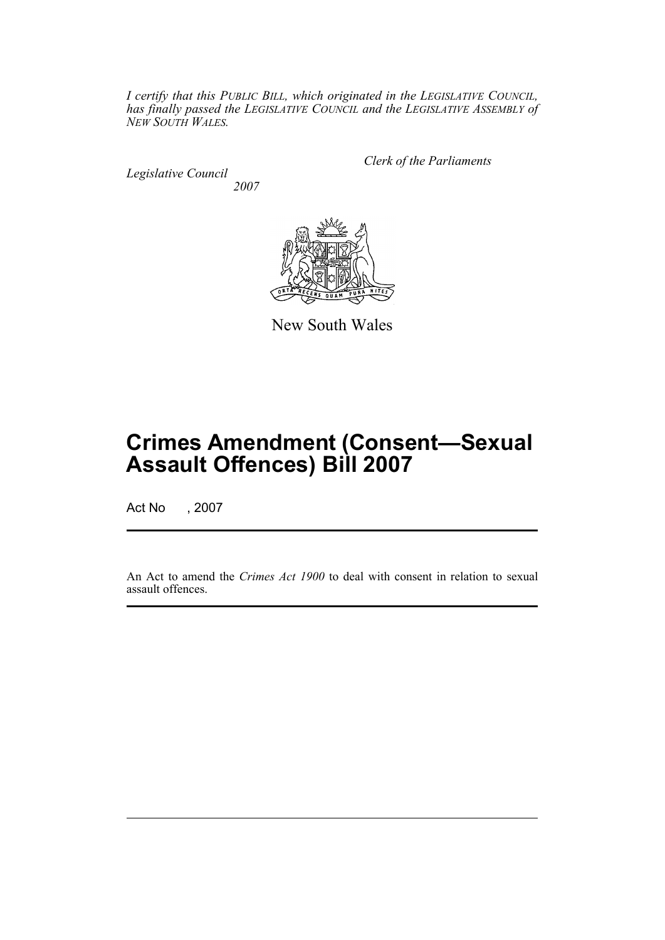*I certify that this PUBLIC BILL, which originated in the LEGISLATIVE COUNCIL, has finally passed the LEGISLATIVE COUNCIL and the LEGISLATIVE ASSEMBLY of NEW SOUTH WALES.*

*Legislative Council 2007* *Clerk of the Parliaments*



New South Wales

# **Crimes Amendment (Consent—Sexual Assault Offences) Bill 2007**

Act No , 2007

An Act to amend the *Crimes Act 1900* to deal with consent in relation to sexual assault offences.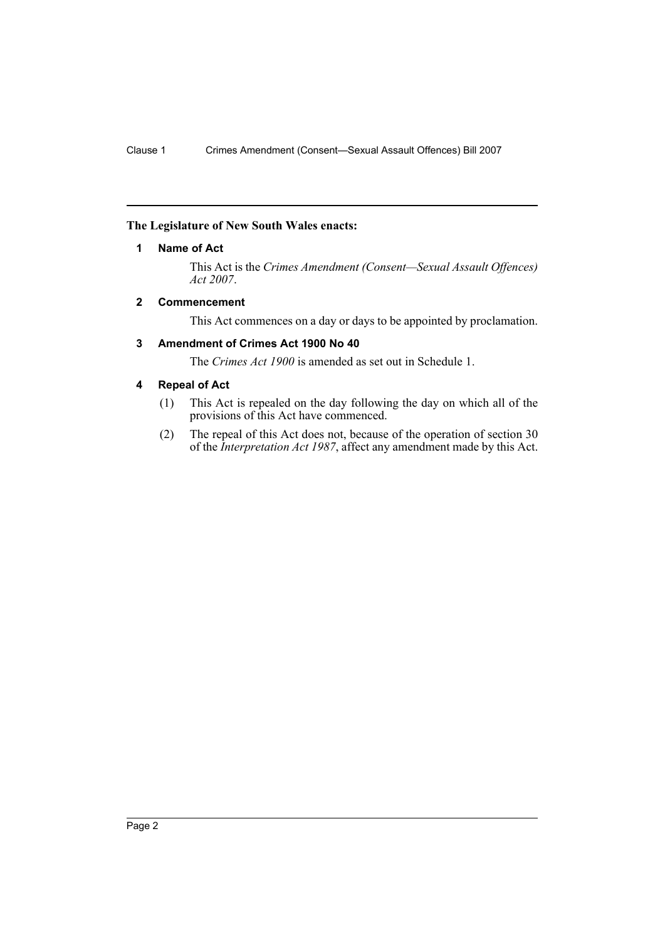# <span id="page-2-0"></span>**The Legislature of New South Wales enacts:**

# **1 Name of Act**

This Act is the *Crimes Amendment (Consent—Sexual Assault Offences) Act 2007*.

# <span id="page-2-1"></span>**2 Commencement**

This Act commences on a day or days to be appointed by proclamation.

# <span id="page-2-2"></span>**3 Amendment of Crimes Act 1900 No 40**

The *Crimes Act 1900* is amended as set out in Schedule 1.

# <span id="page-2-3"></span>**4 Repeal of Act**

- (1) This Act is repealed on the day following the day on which all of the provisions of this Act have commenced.
- (2) The repeal of this Act does not, because of the operation of section 30 of the *Interpretation Act 1987*, affect any amendment made by this Act.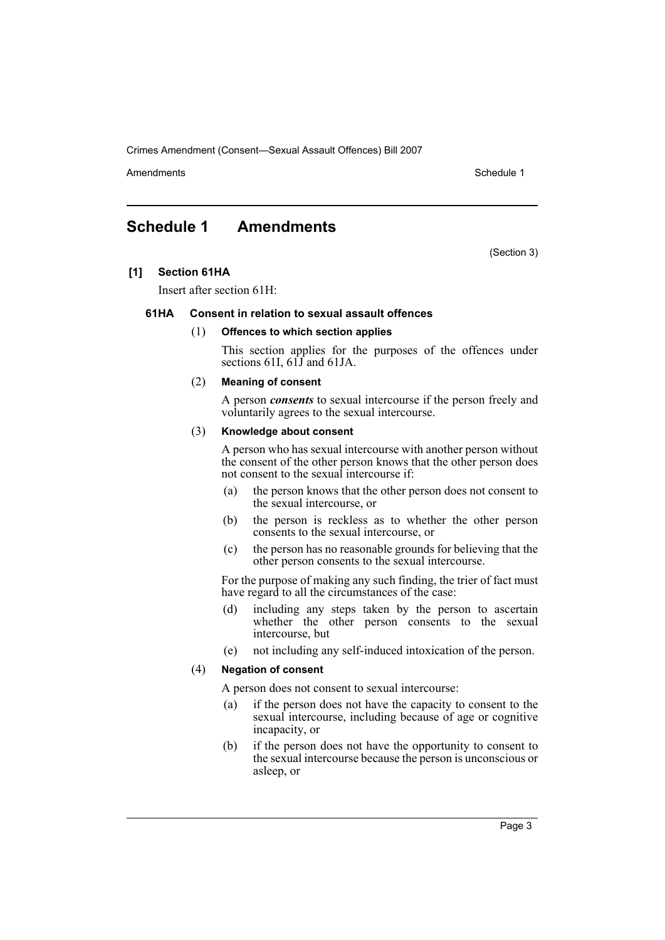Crimes Amendment (Consent—Sexual Assault Offences) Bill 2007

Amendments **Amendments** Schedule 1

# <span id="page-3-0"></span>**Schedule 1 Amendments**

(Section 3)

# **[1] Section 61HA**

Insert after section 61H:

### **61HA Consent in relation to sexual assault offences**

#### (1) **Offences to which section applies**

This section applies for the purposes of the offences under sections 61I,  $61\overline{J}$  and 61JA.

#### (2) **Meaning of consent**

A person *consents* to sexual intercourse if the person freely and voluntarily agrees to the sexual intercourse.

#### (3) **Knowledge about consent**

A person who has sexual intercourse with another person without the consent of the other person knows that the other person does not consent to the sexual intercourse if:

- (a) the person knows that the other person does not consent to the sexual intercourse, or
- (b) the person is reckless as to whether the other person consents to the sexual intercourse, or
- (c) the person has no reasonable grounds for believing that the other person consents to the sexual intercourse.

For the purpose of making any such finding, the trier of fact must have regard to all the circumstances of the case:

- (d) including any steps taken by the person to ascertain whether the other person consents to the sexual intercourse, but
- (e) not including any self-induced intoxication of the person.

#### (4) **Negation of consent**

A person does not consent to sexual intercourse:

- (a) if the person does not have the capacity to consent to the sexual intercourse, including because of age or cognitive incapacity, or
- (b) if the person does not have the opportunity to consent to the sexual intercourse because the person is unconscious or asleep, or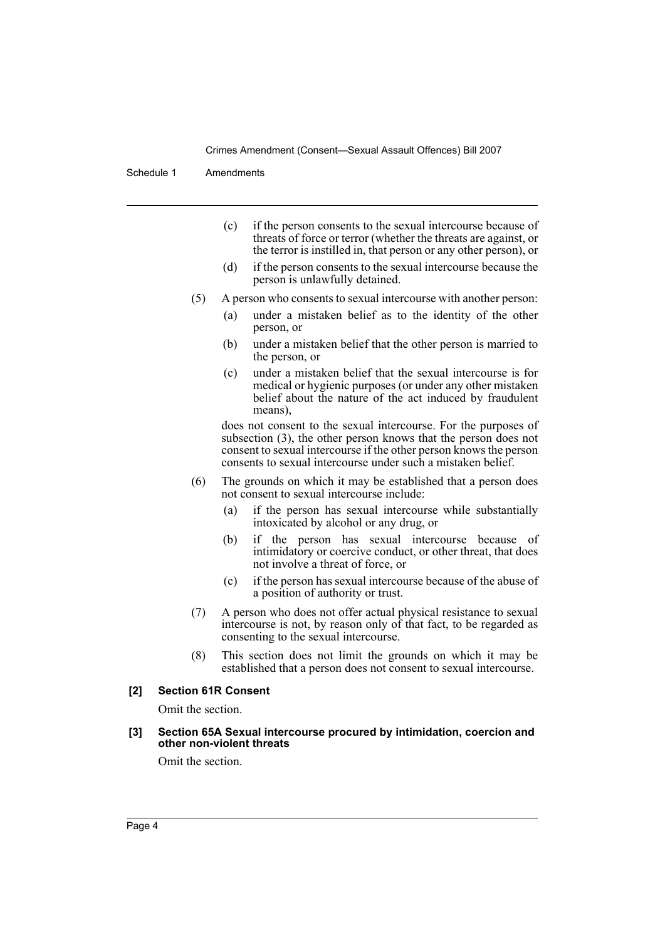Crimes Amendment (Consent—Sexual Assault Offences) Bill 2007

Schedule 1 Amendments

- (c) if the person consents to the sexual intercourse because of threats of force or terror (whether the threats are against, or the terror is instilled in, that person or any other person), or
- (d) if the person consents to the sexual intercourse because the person is unlawfully detained.
- (5) A person who consents to sexual intercourse with another person:
	- (a) under a mistaken belief as to the identity of the other person, or
	- (b) under a mistaken belief that the other person is married to the person, or
	- (c) under a mistaken belief that the sexual intercourse is for medical or hygienic purposes (or under any other mistaken belief about the nature of the act induced by fraudulent means),

does not consent to the sexual intercourse. For the purposes of subsection (3), the other person knows that the person does not consent to sexual intercourse if the other person knows the person consents to sexual intercourse under such a mistaken belief.

- (6) The grounds on which it may be established that a person does not consent to sexual intercourse include:
	- (a) if the person has sexual intercourse while substantially intoxicated by alcohol or any drug, or
	- (b) if the person has sexual intercourse because of intimidatory or coercive conduct, or other threat, that does not involve a threat of force, or
	- (c) if the person has sexual intercourse because of the abuse of a position of authority or trust.
- (7) A person who does not offer actual physical resistance to sexual intercourse is not, by reason only of that fact, to be regarded as consenting to the sexual intercourse.
- (8) This section does not limit the grounds on which it may be established that a person does not consent to sexual intercourse.

# **[2] Section 61R Consent**

Omit the section.

#### **[3] Section 65A Sexual intercourse procured by intimidation, coercion and other non-violent threats**

Omit the section.